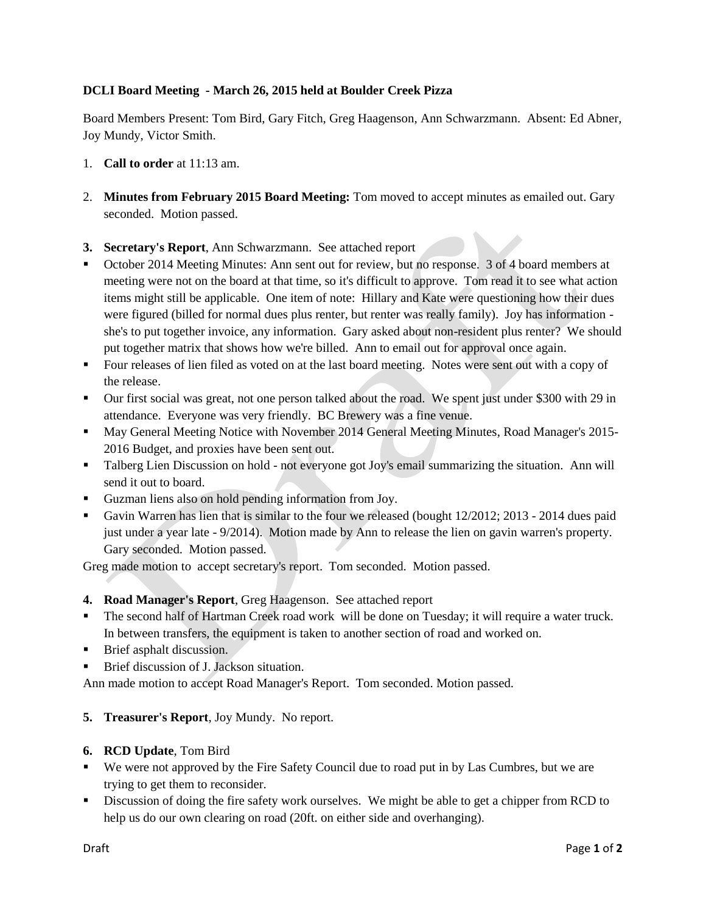## **DCLI Board Meeting - March 26, 2015 held at Boulder Creek Pizza**

Board Members Present: Tom Bird, Gary Fitch, Greg Haagenson, Ann Schwarzmann. Absent: Ed Abner, Joy Mundy, Victor Smith.

- 1. **Call to order** at 11:13 am.
- 2. **Minutes from February 2015 Board Meeting:** Tom moved to accept minutes as emailed out. Gary seconded. Motion passed.
- **3. Secretary's Report**, Ann Schwarzmann. See attached report
- October 2014 Meeting Minutes: Ann sent out for review, but no response. 3 of 4 board members at meeting were not on the board at that time, so it's difficult to approve. Tom read it to see what action items might still be applicable. One item of note: Hillary and Kate were questioning how their dues were figured (billed for normal dues plus renter, but renter was really family). Joy has information she's to put together invoice, any information. Gary asked about non-resident plus renter? We should put together matrix that shows how we're billed. Ann to email out for approval once again.
- Four releases of lien filed as voted on at the last board meeting. Notes were sent out with a copy of the release.
- Our first social was great, not one person talked about the road. We spent just under \$300 with 29 in attendance. Everyone was very friendly. BC Brewery was a fine venue.
- May General Meeting Notice with November 2014 General Meeting Minutes, Road Manager's 2015- 2016 Budget, and proxies have been sent out.
- Talberg Lien Discussion on hold not everyone got Joy's email summarizing the situation. Ann will send it out to board.
- Guzman liens also on hold pending information from Joy.
- Gavin Warren has lien that is similar to the four we released (bought 12/2012; 2013 2014 dues paid just under a year late - 9/2014). Motion made by Ann to release the lien on gavin warren's property. Gary seconded. Motion passed.

Greg made motion to accept secretary's report. Tom seconded. Motion passed.

- **4. Road Manager's Report**, Greg Haagenson.See attached report
- The second half of Hartman Creek road work will be done on Tuesday; it will require a water truck. In between transfers, the equipment is taken to another section of road and worked on.
- Brief asphalt discussion.
- **Brief discussion of J. Jackson situation.**

Ann made motion to accept Road Manager's Report. Tom seconded. Motion passed.

- **5. Treasurer's Report**, Joy Mundy. No report.
- **6. RCD Update**, Tom Bird
- We were not approved by the Fire Safety Council due to road put in by Las Cumbres, but we are trying to get them to reconsider.
- Discussion of doing the fire safety work ourselves. We might be able to get a chipper from RCD to help us do our own clearing on road (20ft. on either side and overhanging).